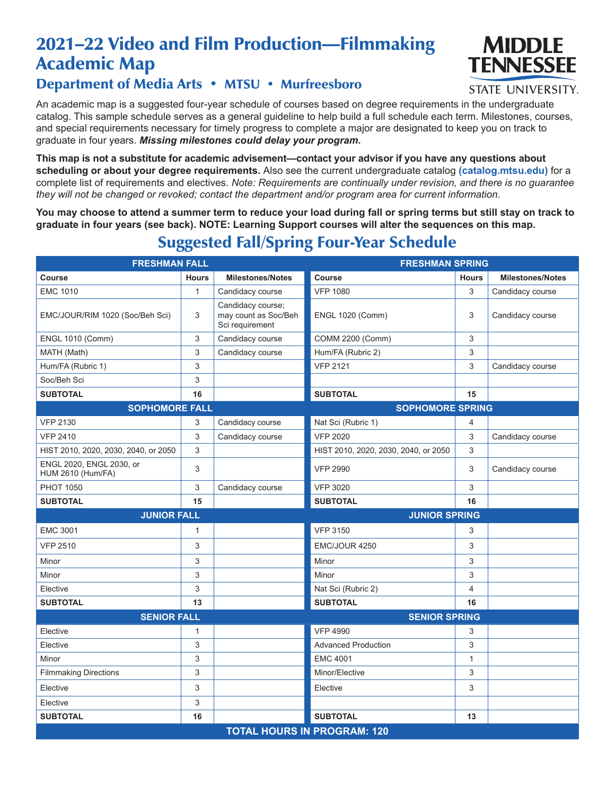# 2021–22 Video and Film Production—Filmmaking Academic Map



#### **STATE UNIVERSITY.**

### Department of Media Arts • MTSU • Murfreesboro

An academic map is a suggested four-year schedule of courses based on degree requirements in the undergraduate catalog. This sample schedule serves as a general guideline to help build a full schedule each term. Milestones, courses, and special requirements necessary for timely progress to complete a major are designated to keep you on track to graduate in four years. *Missing milestones could delay your program.*

**This map is not a substitute for academic advisement—contact your advisor if you have any questions about scheduling or about your degree requirements.** Also see the current undergraduate catalog **(catalog.mtsu.edu)** for a complete list of requirements and electives. *Note: Requirements are continually under revision, and there is no guarantee they will not be changed or revoked; contact the department and/or program area for current information.*

**You may choose to attend a summer term to reduce your load during fall or spring terms but still stay on track to graduate in four years (see back). NOTE: Learning Support courses will alter the sequences on this map.**

| <b>FRESHMAN FALL</b>                                 |                           |                                                              | <b>FRESHMAN SPRING</b>               |              |                         |  |  |
|------------------------------------------------------|---------------------------|--------------------------------------------------------------|--------------------------------------|--------------|-------------------------|--|--|
| Course                                               | <b>Hours</b>              | <b>Milestones/Notes</b>                                      | <b>Course</b>                        | <b>Hours</b> | <b>Milestones/Notes</b> |  |  |
| <b>EMC 1010</b>                                      | $\mathbf{1}$              | Candidacy course                                             | <b>VFP 1080</b>                      | 3            | Candidacy course        |  |  |
| EMC/JOUR/RIM 1020 (Soc/Beh Sci)                      | 3                         | Candidacy course;<br>may count as Soc/Beh<br>Sci requirement | <b>ENGL 1020 (Comm)</b>              | 3            | Candidacy course        |  |  |
| <b>ENGL 1010 (Comm)</b>                              | 3                         | Candidacy course                                             | <b>COMM 2200 (Comm)</b>              | 3            |                         |  |  |
| MATH (Math)                                          | 3                         | Candidacy course                                             | Hum/FA (Rubric 2)                    | 3            |                         |  |  |
| Hum/FA (Rubric 1)                                    | $\ensuremath{\mathsf{3}}$ |                                                              | <b>VFP 2121</b>                      | 3            | Candidacy course        |  |  |
| Soc/Beh Sci                                          | 3                         |                                                              |                                      |              |                         |  |  |
| <b>SUBTOTAL</b>                                      | 16                        |                                                              | <b>SUBTOTAL</b>                      | 15           |                         |  |  |
| <b>SOPHOMORE FALL</b>                                |                           |                                                              | <b>SOPHOMORE SPRING</b>              |              |                         |  |  |
| <b>VFP 2130</b>                                      | 3                         | Candidacy course                                             | Nat Sci (Rubric 1)                   | 4            |                         |  |  |
| <b>VFP 2410</b>                                      | 3                         | Candidacy course                                             | <b>VFP 2020</b>                      | 3            | Candidacy course        |  |  |
| HIST 2010, 2020, 2030, 2040, or 2050                 | 3                         |                                                              | HIST 2010, 2020, 2030, 2040, or 2050 | 3            |                         |  |  |
| ENGL 2020, ENGL 2030, or<br><b>HUM 2610 (Hum/FA)</b> | 3                         |                                                              | <b>VFP 2990</b>                      | 3            | Candidacy course        |  |  |
| <b>PHOT 1050</b>                                     | 3                         | Candidacy course                                             | <b>VFP 3020</b>                      | 3            |                         |  |  |
| <b>SUBTOTAL</b>                                      | 15                        |                                                              | <b>SUBTOTAL</b>                      | 16           |                         |  |  |
| <b>JUNIOR FALL</b>                                   |                           |                                                              | <b>JUNIOR SPRING</b>                 |              |                         |  |  |
| <b>EMC 3001</b>                                      | $\mathbf{1}$              |                                                              | <b>VFP 3150</b>                      | 3            |                         |  |  |
| <b>VFP 2510</b>                                      | 3                         |                                                              | EMC/JOUR 4250                        | 3            |                         |  |  |
| Minor                                                | 3                         |                                                              | Minor                                | 3            |                         |  |  |
| Minor                                                | 3                         |                                                              | Minor                                | 3            |                         |  |  |
| Elective                                             | 3                         |                                                              | Nat Sci (Rubric 2)                   | 4            |                         |  |  |
| <b>SUBTOTAL</b>                                      | 13                        |                                                              | <b>SUBTOTAL</b>                      | 16           |                         |  |  |
| <b>SENIOR FALL</b>                                   |                           |                                                              | <b>SENIOR SPRING</b>                 |              |                         |  |  |
| Elective                                             | 1                         |                                                              | <b>VFP 4990</b>                      | 3            |                         |  |  |
| Elective                                             | 3                         |                                                              | <b>Advanced Production</b>           | 3            |                         |  |  |
| Minor                                                | 3                         |                                                              | <b>EMC 4001</b>                      | 1            |                         |  |  |
| <b>Filmmaking Directions</b>                         | 3                         |                                                              | Minor/Elective                       | 3            |                         |  |  |
| Elective                                             | 3                         |                                                              | Elective                             | 3            |                         |  |  |
| Elective                                             | 3                         |                                                              |                                      |              |                         |  |  |
| <b>SUBTOTAL</b>                                      | 16                        |                                                              | <b>SUBTOTAL</b>                      | 13           |                         |  |  |
| <b>TOTAL HOURS IN PROGRAM: 120</b>                   |                           |                                                              |                                      |              |                         |  |  |

## Suggested Fall/Spring Four-Year Schedule